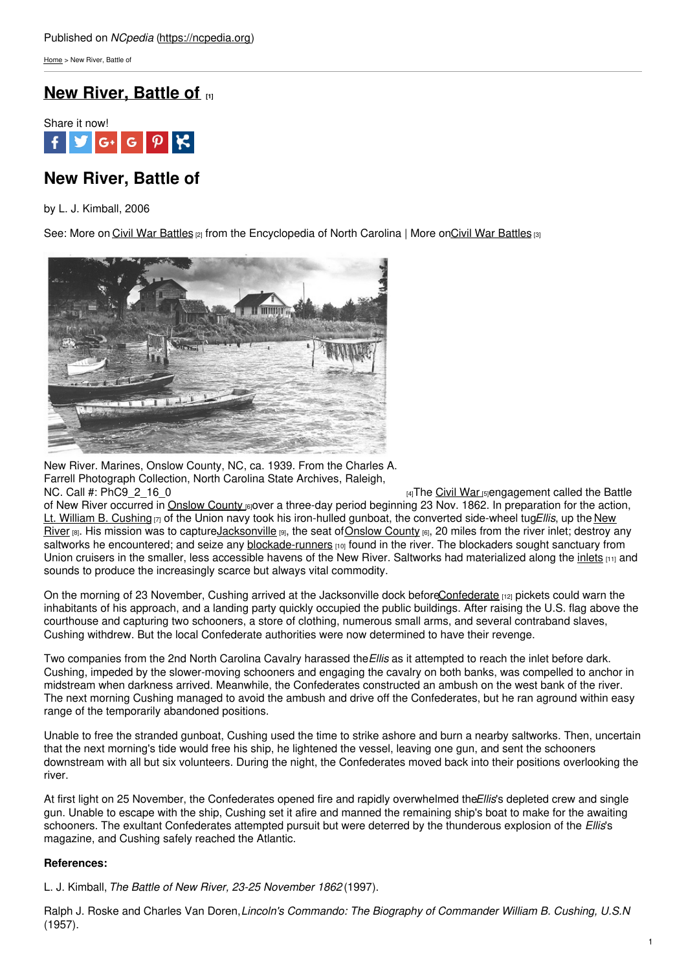[Home](https://ncpedia.org/) > New River, Battle of

## **New [River,](https://ncpedia.org/new-river-battle) Battle of [1]**



# **New River, Battle of**

by L. J. Kimball, 2006

See: More on Civil War [Battles](https://ncpedia.org/civil-war-battles) [2] from the Encyclopedia of North Carolina | More on Civil War Battles [3]



New River. Marines, Onslow County, NC, ca. 1939. From the Charles A. Farrell Photograph Collection, North Carolina State Archives, Raleigh, NC. Call #: PhC9 2 16 0  $\frac{16}{4}$ The [Civil](https://ncpedia.org/civil-war) War [5]engagement called the Battle

of New River occurred in [Onslow](https://ncpedia.org/geography/onslow) County [6]over a three-day period beginning 23 Nov. 1862. In preparation for the action, Lt. William B. [Cushing](http://www.history.navy.mil/photos/pers-us/uspers-c/w-cushg.htm) [7] of the Union navy took his iron-hulled gunboat, the converted side-wheel tug*Ellis*, up the New River [8]. His mission was to [captureJacksonville](https://ncpedia.org/rivers/new) [9], the seat of Onslow County [6], 20 miles from the river inlet; destroy any saltworks he encountered; and seize any [blockade-runners](https://ncpedia.org/blockade-running)  $[10]$  found in the river. The blockaders sought sanctuary from Union cruisers in the smaller, less accessible havens of the New River. Saltworks had materialized along the [inlets](https://ncpedia.org/inlets) [11] and sounds to produce the increasingly scarce but always vital commodity.

On the morning of 23 November, Cushing arrived at the Jacksonville dock befor[eConfederate](https://ncpedia.org/confederate-party) <sub>[12]</sub> pickets could warn the inhabitants of his approach, and a landing party quickly occupied the public buildings. After raising the U.S. flag above the courthouse and capturing two schooners, a store of clothing, numerous small arms, and several contraband slaves, Cushing withdrew. But the local Confederate authorities were now determined to have their revenge.

Two companies from the 2nd North Carolina Cavalry harassed the*Ellis* as it attempted to reach the inlet before dark. Cushing, impeded by the slower-moving schooners and engaging the cavalry on both banks, was compelled to anchor in midstream when darkness arrived. Meanwhile, the Confederates constructed an ambush on the west bank of the river. The next morning Cushing managed to avoid the ambush and drive off the Confederates, but he ran aground within easy range of the temporarily abandoned positions.

Unable to free the stranded gunboat, Cushing used the time to strike ashore and burn a nearby saltworks. Then, uncertain that the next morning's tide would free his ship, he lightened the vessel, leaving one gun, and sent the schooners downstream with all but six volunteers. During the night, the Confederates moved back into their positions overlooking the river.

At first light on 25 November, the Confederates opened fire and rapidly overwhelmed the*Ellis*'s depleted crew and single gun. Unable to escape with the ship, Cushing set it afire and manned the remaining ship's boat to make for the awaiting schooners. The exultant Confederates attempted pursuit but were deterred by the thunderous explosion of the *Ellis*'s magazine, and Cushing safely reached the Atlantic.

### **References:**

L. J. Kimball, *The Battle of New River, 23-25 November 1862* (1997).

Ralph J. Roske and Charles Van Doren,*Lincoln's Commando: The Biography of Commander William B. Cushing, U.S.N*. (1957).